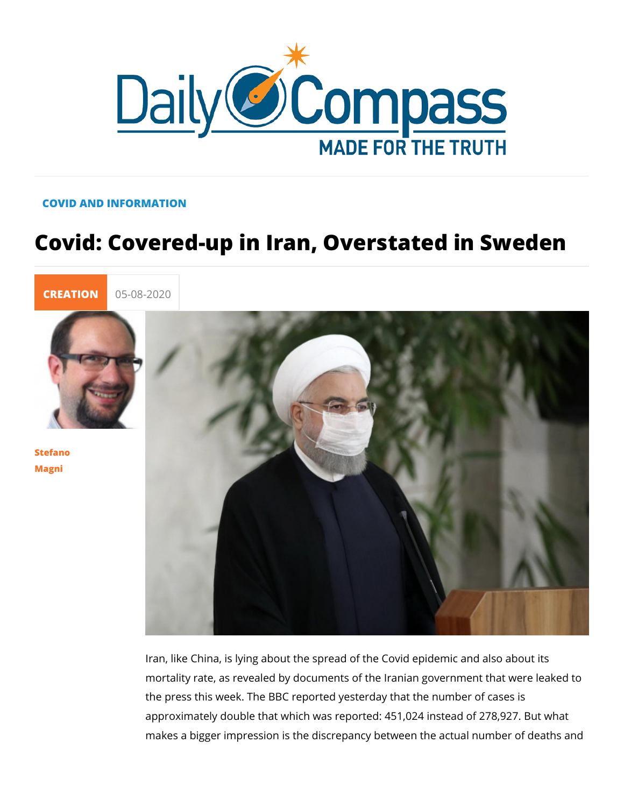## COVID AND INFORMATION

## Covid: Covered-up in Iran, Overstated

[CREATI](https://newdailycompass.com/en/creation)C 05-08-2020

[Stefan](/en/stefano-magni)o [Magn](/en/stefano-magni)i

> Iran, like China, is lying about the spread of the Covid epidem mortality rate, as revealed by documents of the Iranian govern the press this week. The BBC reported yesterday that the num approximately double that which was reported: 451,024 instead makes a bigger impression is the discrepancy between the act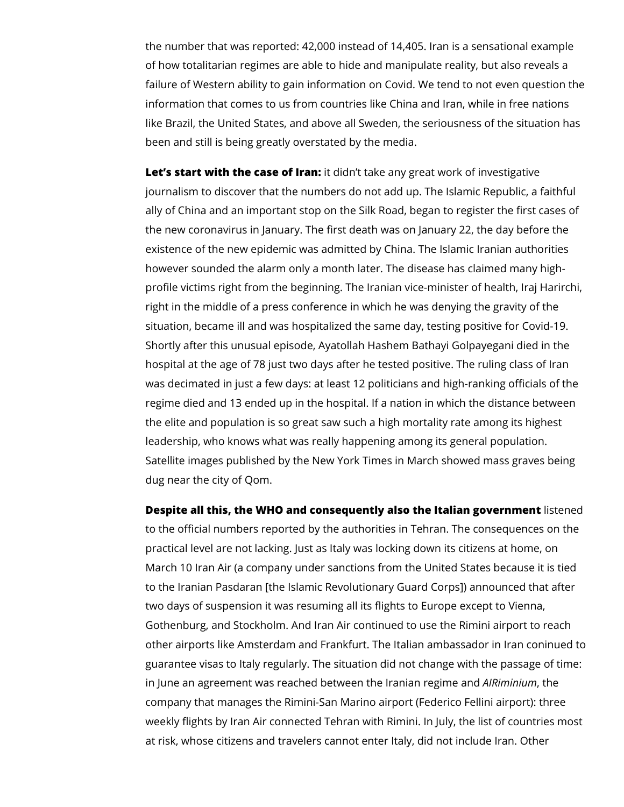the number that was reported: 42,000 instead of 14,405. Iran is a sensational example of how totalitarian regimes are able to hide and manipulate reality, but also reveals a failure of Western ability to gain information on Covid. We tend to not even question the information that comes to us from countries like China and Iran, while in free nations like Brazil, the United States, and above all Sweden, the seriousness of the situation has been and still is being greatly overstated by the media.

**Let's start with the case of Iran:** it didn't take any great work of investigative journalism to discover that the numbers do not add up. The Islamic Republic, a faithful ally of China and an important stop on the Silk Road, began to register the first cases of the new coronavirus in January. The first death was on January 22, the day before the existence of the new epidemic was admitted by China. The Islamic Iranian authorities however sounded the alarm only a month later. The disease has claimed many highprofile victims right from the beginning. The Iranian vice-minister of health, Iraj Harirchi, right in the middle of a press conference in which he was denying the gravity of the situation, became ill and was hospitalized the same day, testing positive for Covid-19. Shortly after this unusual episode, Ayatollah Hashem Bathayi Golpayegani died in the hospital at the age of 78 just two days after he tested positive. The ruling class of Iran was decimated in just a few days: at least 12 politicians and high-ranking officials of the regime died and 13 ended up in the hospital. If a nation in which the distance between the elite and population is so great saw such a high mortality rate among its highest leadership, who knows what was really happening among its general population. Satellite images published by the New York Times in March showed mass graves being dug near the city of Qom.

**Despite all this, the WHO and consequently also the Italian government** listened to the official numbers reported by the authorities in Tehran. The consequences on the practical level are not lacking. Just as Italy was locking down its citizens at home, on March 10 Iran Air (a company under sanctions from the United States because it is tied to the Iranian Pasdaran [the Islamic Revolutionary Guard Corps]) announced that after two days of suspension it was resuming all its flights to Europe except to Vienna, Gothenburg, and Stockholm. And Iran Air continued to use the Rimini airport to reach other airports like Amsterdam and Frankfurt. The Italian ambassador in Iran coninued to guarantee visas to Italy regularly. The situation did not change with the passage of time: in June an agreement was reached between the Iranian regime and *AIRiminium*, the company that manages the Rimini-San Marino airport (Federico Fellini airport): three weekly flights by Iran Air connected Tehran with Rimini. In July, the list of countries most at risk, whose citizens and travelers cannot enter Italy, did not include Iran. Other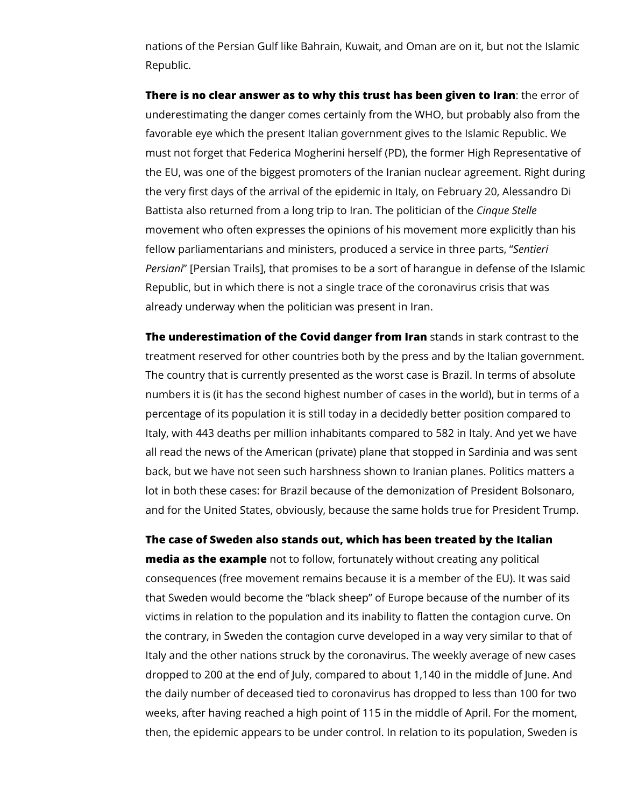nations of the Persian Gulf like Bahrain, Kuwait, and Oman are on it, but not the Islamic Republic.

**There is no clear answer as to why this trust has been given to Iran**: the error of underestimating the danger comes certainly from the WHO, but probably also from the favorable eye which the present Italian government gives to the Islamic Republic. We must not forget that Federica Mogherini herself (PD), the former High Representative of the EU, was one of the biggest promoters of the Iranian nuclear agreement. Right during the very first days of the arrival of the epidemic in Italy, on February 20, Alessandro Di Battista also returned from a long trip to Iran. The politician of the *Cinque Stelle*  movement who often expresses the opinions of his movement more explicitly than his fellow parliamentarians and ministers, produced a service in three parts, "*Sentieri Persiani*" [Persian Trails], that promises to be a sort of harangue in defense of the Islamic Republic, but in which there is not a single trace of the coronavirus crisis that was already underway when the politician was present in Iran.

**The underestimation of the Covid danger from Iran** stands in stark contrast to the treatment reserved for other countries both by the press and by the Italian government. The country that is currently presented as the worst case is Brazil. In terms of absolute numbers it is (it has the second highest number of cases in the world), but in terms of a percentage of its population it is still today in a decidedly better position compared to Italy, with 443 deaths per million inhabitants compared to 582 in Italy. And yet we have all read the news of the American (private) plane that stopped in Sardinia and was sent back, but we have not seen such harshness shown to Iranian planes. Politics matters a lot in both these cases: for Brazil because of the demonization of President Bolsonaro, and for the United States, obviously, because the same holds true for President Trump.

## **The case of Sweden also stands out, which has been treated by the Italian**

**media as the example** not to follow, fortunately without creating any political consequences (free movement remains because it is a member of the EU). It was said that Sweden would become the "black sheep" of Europe because of the number of its victims in relation to the population and its inability to flatten the contagion curve. On the contrary, in Sweden the contagion curve developed in a way very similar to that of Italy and the other nations struck by the coronavirus. The weekly average of new cases dropped to 200 at the end of July, compared to about 1,140 in the middle of June. And the daily number of deceased tied to coronavirus has dropped to less than 100 for two weeks, after having reached a high point of 115 in the middle of April. For the moment, then, the epidemic appears to be under control. In relation to its population, Sweden is